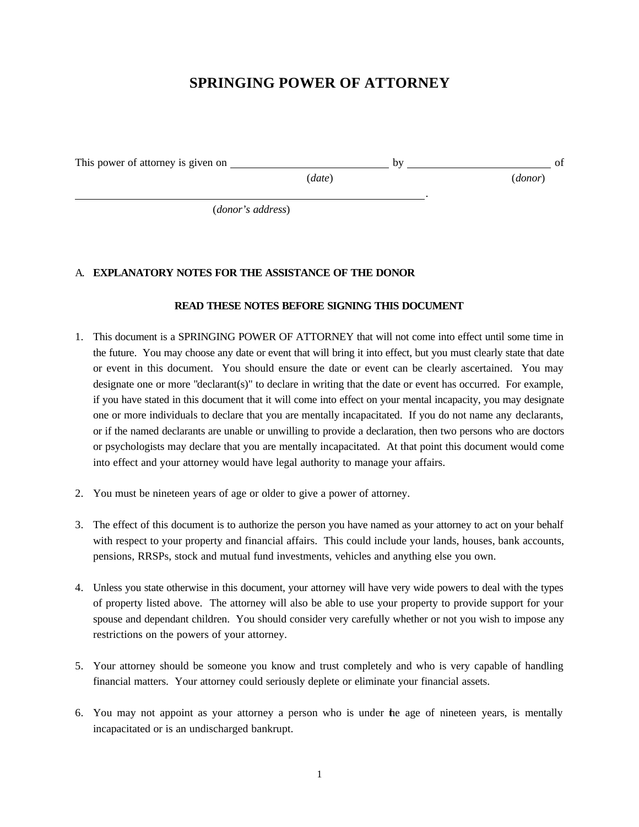# **SPRINGING POWER OF ATTORNEY**

This power of attorney is given on by of the by of the power of attorney is given on by of

(*date*) (*donor*)

<u>. Andre Stadt i den stadt i den stadt i den stadt i den stadt i den stadt i den stadt i den stadt i den stadt</u> (*donor's address*)

## A. **EXPLANATORY NOTES FOR THE ASSISTANCE OF THE DONOR**

#### **READ THESE NOTES BEFORE SIGNING THIS DOCUMENT**

- 1. This document is a SPRINGING POWER OF ATTORNEY that will not come into effect until some time in the future. You may choose any date or event that will bring it into effect, but you must clearly state that date or event in this document. You should ensure the date or event can be clearly ascertained. You may designate one or more "declarant(s)" to declare in writing that the date or event has occurred. For example, if you have stated in this document that it will come into effect on your mental incapacity, you may designate one or more individuals to declare that you are mentally incapacitated. If you do not name any declarants, or if the named declarants are unable or unwilling to provide a declaration, then two persons who are doctors or psychologists may declare that you are mentally incapacitated. At that point this document would come into effect and your attorney would have legal authority to manage your affairs.
- 2. You must be nineteen years of age or older to give a power of attorney.
- 3. The effect of this document is to authorize the person you have named as your attorney to act on your behalf with respect to your property and financial affairs. This could include your lands, houses, bank accounts, pensions, RRSPs, stock and mutual fund investments, vehicles and anything else you own.
- 4. Unless you state otherwise in this document, your attorney will have very wide powers to deal with the types of property listed above. The attorney will also be able to use your property to provide support for your spouse and dependant children. You should consider very carefully whether or not you wish to impose any restrictions on the powers of your attorney.
- 5. Your attorney should be someone you know and trust completely and who is very capable of handling financial matters. Your attorney could seriously deplete or eliminate your financial assets.
- 6. You may not appoint as your attorney a person who is under the age of nineteen years, is mentally incapacitated or is an undischarged bankrupt.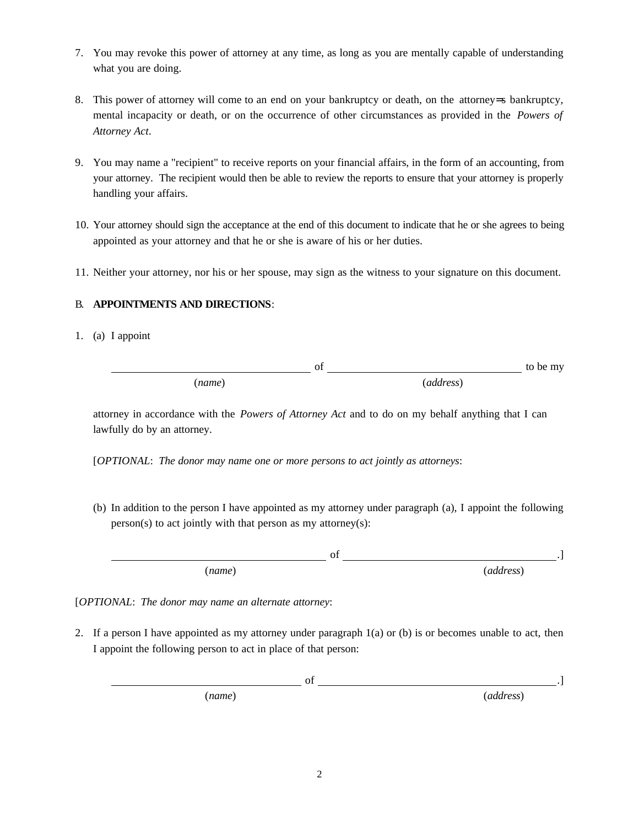- 7. You may revoke this power of attorney at any time, as long as you are mentally capable of understanding what you are doing.
- 8. This power of attorney will come to an end on your bankruptcy or death, on the attorney=s bankruptcy, mental incapacity or death, or on the occurrence of other circumstances as provided in the *Powers of Attorney Act*.
- 9. You may name a "recipient" to receive reports on your financial affairs, in the form of an accounting, from your attorney. The recipient would then be able to review the reports to ensure that your attorney is properly handling your affairs.
- 10. Your attorney should sign the acceptance at the end of this document to indicate that he or she agrees to being appointed as your attorney and that he or she is aware of his or her duties.
- 11. Neither your attorney, nor his or her spouse, may sign as the witness to your signature on this document.

## B. **APPOINTMENTS AND DIRECTIONS**:

1. (a) I appoint

of to be my (*name*) (*address*)

attorney in accordance with the *Powers of Attorney Act* and to do on my behalf anything that I can lawfully do by an attorney.

[*OPTIONAL*: *The donor may name one or more persons to act jointly as attorneys*:

(b) In addition to the person I have appointed as my attorney under paragraph (a), I appoint the following  $person(s)$  to act jointly with that person as my attorney(s):

 $\sigma$  . The contract of  $\sigma$  is a set of  $\sigma$  . The contract of  $\sigma$  is a set of  $\sigma$  . (*name*) (*address*)

[*OPTIONAL*: *The donor may name an alternate attorney*:

2. If a person I have appointed as my attorney under paragraph  $1(a)$  or (b) is or becomes unable to act, then I appoint the following person to act in place of that person:

| V1     |           |
|--------|-----------|
| (name) | (address) |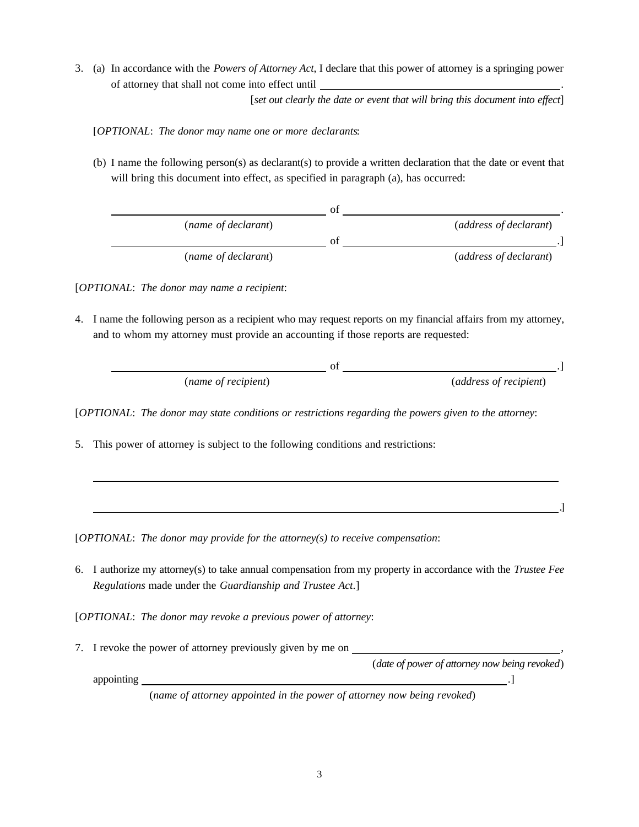3. (a) In accordance with the *Powers of Attorney Act*, I declare that this power of attorney is a springing power of attorney that shall not come into effect until .

[*set out clearly the date or event that will bring this document into effect*]

[*OPTIONAL*: *The donor may name one or more declarants*:

(b) I name the following person(s) as declarant(s) to provide a written declaration that the date or event that will bring this document into effect, as specified in paragraph (a), has occurred:

|                     | റ*  |                        |
|---------------------|-----|------------------------|
| (name of declarant) |     | (address of declarant) |
|                     | ി † |                        |
| (name of declarant) |     | (address of declarant) |

[*OPTIONAL*: *The donor may name a recipient*:

4. I name the following person as a recipient who may request reports on my financial affairs from my attorney, and to whom my attorney must provide an accounting if those reports are requested:

| (name of recipient) | (address of recipient) |
|---------------------|------------------------|

[*OPTIONAL*: *The donor may state conditions or restrictions regarding the powers given to the attorney*:

5. This power of attorney is subject to the following conditions and restrictions:

[*OPTIONAL*: *The donor may provide for the attorney(s) to receive compensation*:

6. I authorize my attorney(s) to take annual compensation from my property in accordance with the *Trustee Fee Regulations* made under the *Guardianship and Trustee Act*.]

[*OPTIONAL*: *The donor may revoke a previous power of attorney*:

7. I revoke the power of attorney previously given by me on ,

(*date of power of attorney now being revoked*)

.<br>1980 - Paul Barbara, politik amerikan pada 1980.<br>1980 - January John Barbara, politik amerikan pada 1980.

appointing  $\Box$ 

(*name of attorney appointed in the power of attorney now being revoked*)